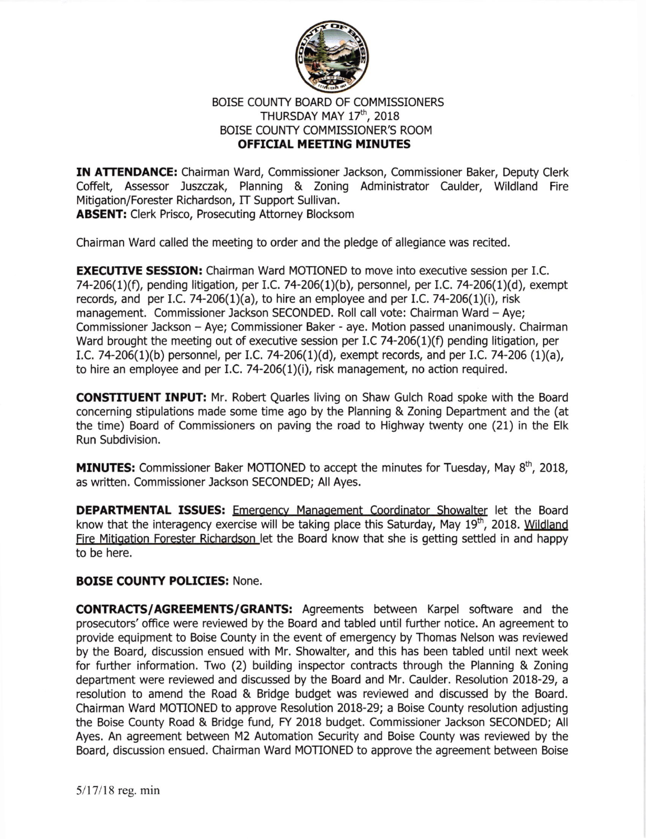

## BOISE COUNTY BOARD OF COMMISSIONERS THURSDAY MAY 17<sup>th</sup>, 2018 BOISE COUNTY COMMISSIONER'S ROOM **OFFICIAL MEETING MINUTES**

IN ATTENDANCE: Chairman Ward, Commissioner Jackson, Commissioner Baker, Deputy Clerk Coffelt, Assessor Juszczak, Planning & Zoning Administrator Caulder, Wildland Fire Mitigation/Forester Richardson, IT Support Sullivan. ABSENT: Clerk Prisco, Prosecuting Attorney Blocksom

Chairman Ward called the meeting to order and the pledge of allegiance was recited.

**EXECUTIVE SESSION:** Chairman Ward MOTIONED to move into executive session per I.C. 74-206(1)(f), pending litigation, per I.C. 74-206(1)(b), personnel, per I.C. 74-206(1)(d), exempt records, and per I.C. 74-206(1)(a), to hire an employee and per I.C. 74-206(1)(i), risk management. Commissioner Jackson SECONDED. Roll call vote: Chairman Ward - Ave: Commissioner Jackson - Aye; Commissioner Baker - aye. Motion passed unanimously. Chairman Ward brought the meeting out of executive session per I.C 74-206(1)(f) pending litigation, per I.C. 74-206(1)(b) personnel, per I.C. 74-206(1)(d), exempt records, and per I.C. 74-206 (1)(a), to hire an employee and per I.C. 74-206(1)(i), risk management, no action required.

CONSTITUENT INPUT: Mr. Robert Quarles living on Shaw Gulch Road spoke with the Board concerning stipulations made some time ago by the Planning & Zoning Department and the (at the time) Board of Commissioners on paving the road to Highway twenty one (21) in the Elk Run Subdivision.

**MINUTES:** Commissioner Baker MOTIONED to accept the minutes for Tuesday, May  $8<sup>th</sup>$ , 2018, as written. Commissioner lackson SECONDED; All Ayes.

DEPARTMENTAL ISSUES: Emergency Management Coordinator Showalter let the Board know that the interagency exercise will be taking place this Saturday, May  $19^{th}$ , 2018. Wildland Fire Mitigation Forester Richardson let the Board know that she is getting settled in and happy to be here.

## BOISE COUNTY POLICIES: None.

CONTRACTS/AGREEMENTS/GRANTS: Agreements between Karpel software and the prosecutors' office were reviewed by the Board and tabled until further notice. An agreement to provide equipment to Boise County in the event of emergency by Thomas Nelson was reviewed by the Board, discussion ensued with Mr. Showalter, and this has been tabled until next week for futher information. Two (2) building inspector contracts through the Planning & Zoning depaftment were reviewed and discussed by the Board and Mr. Caulder. Resolution 2018-29, a resolution to amend the Road & Bridge budget was reviewed and discussed by the Board. Chairman Ward MOTIONED to approve Resolution 20L8-29; a Bolse County resolution adjusting the Boise County Road & Bridge fund, FY 2018 budget. Commissioner Jackson SECONDED; All Ayes. An agreement between M2 Automation Security and Boise County was reviewed by the Board, discussion ensued. Chairman Ward MOTIONED to approve the agreement between Boise